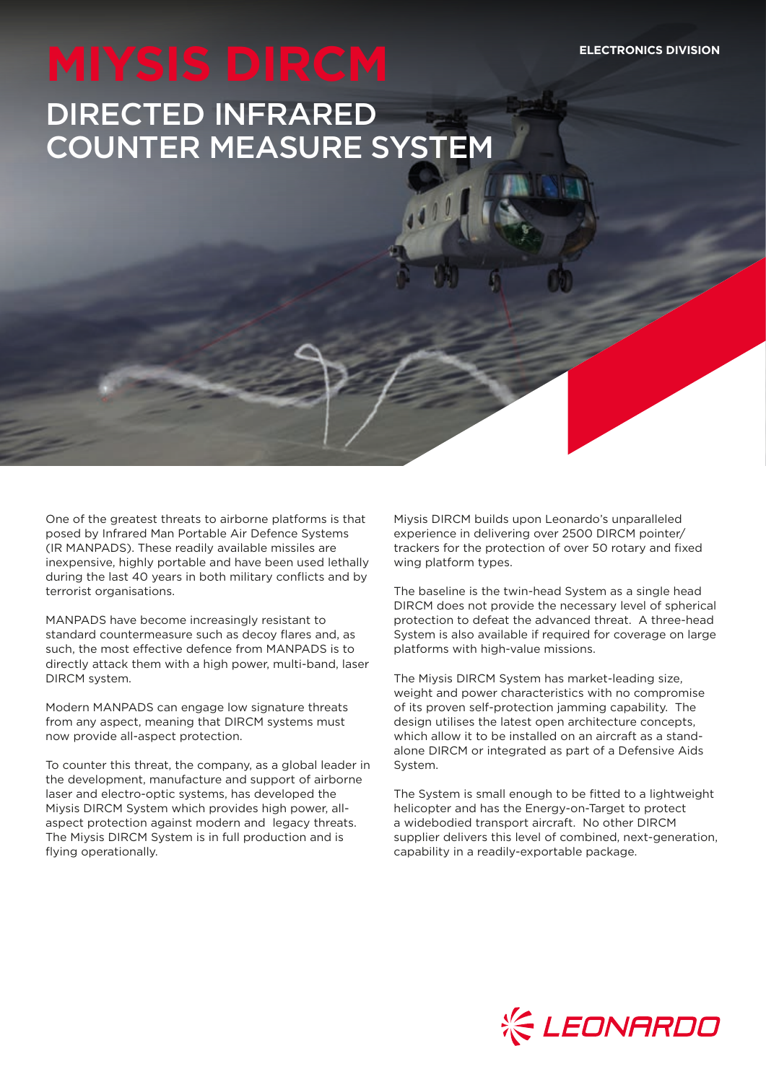# DIRECTED INFRARED COUNTER MEASURE SYSTEM

One of the greatest threats to airborne platforms is that posed by Infrared Man Portable Air Defence Systems (IR MANPADS). These readily available missiles are inexpensive, highly portable and have been used lethally during the last 40 years in both military conflicts and by terrorist organisations.

MANPADS have become increasingly resistant to standard countermeasure such as decoy flares and, as such, the most effective defence from MANPADS is to directly attack them with a high power, multi-band, laser DIRCM system.

Modern MANPADS can engage low signature threats from any aspect, meaning that DIRCM systems must now provide all-aspect protection.

To counter this threat, the company, as a global leader in the development, manufacture and support of airborne laser and electro-optic systems, has developed the Miysis DIRCM System which provides high power, allaspect protection against modern and legacy threats. The Miysis DIRCM System is in full production and is flying operationally.

Miysis DIRCM builds upon Leonardo's unparalleled experience in delivering over 2500 DIRCM pointer/ trackers for the protection of over 50 rotary and fixed wing platform types.

The baseline is the twin-head System as a single head DIRCM does not provide the necessary level of spherical protection to defeat the advanced threat. A three-head System is also available if required for coverage on large platforms with high-value missions.

The Miysis DIRCM System has market-leading size, weight and power characteristics with no compromise of its proven self-protection jamming capability. The design utilises the latest open architecture concepts, which allow it to be installed on an aircraft as a standalone DIRCM or integrated as part of a Defensive Aids System.

The System is small enough to be fitted to a lightweight helicopter and has the Energy-on-Target to protect a widebodied transport aircraft. No other DIRCM supplier delivers this level of combined, next-generation, capability in a readily-exportable package.